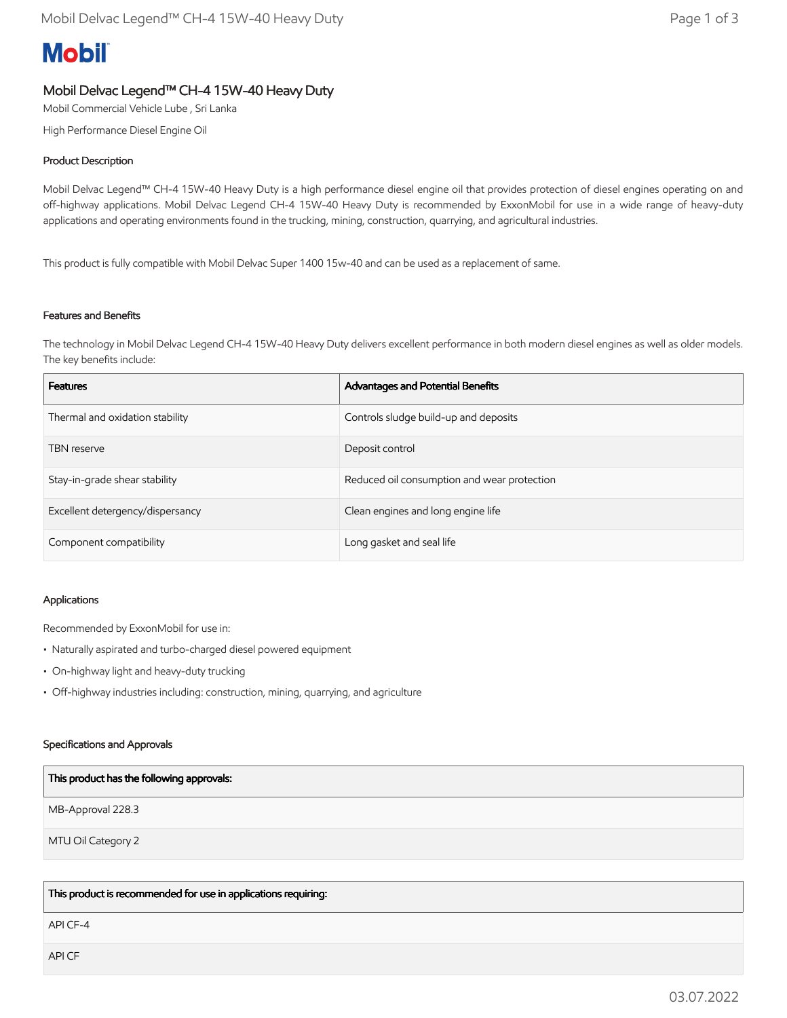# **Mobil**

# Mobil Delvac Legend™ CH-4 15W-40 Heavy Duty

Mobil Commercial Vehicle Lube , Sri Lanka

High Performance Diesel Engine Oil

## Product Description

Mobil Delvac Legend™ CH-4 15W-40 Heavy Duty is a high performance diesel engine oil that provides protection of diesel engines operating on and off-highway applications. Mobil Delvac Legend CH-4 15W-40 Heavy Duty is recommended by ExxonMobil for use in a wide range of heavy-duty applications and operating environments found in the trucking, mining, construction, quarrying, and agricultural industries.

This product is fully compatible with Mobil Delvac Super 1400 15w-40 and can be used as a replacement of same.

### Features and Benefits

The technology in Mobil Delvac Legend CH-4 15W-40 Heavy Duty delivers excellent performance in both modern diesel engines as well as older models. The key benefits include:

| <b>Features</b>                  | Advantages and Potential Benefits           |
|----------------------------------|---------------------------------------------|
| Thermal and oxidation stability  | Controls sludge build-up and deposits       |
| <b>TBN</b> reserve               | Deposit control                             |
| Stay-in-grade shear stability    | Reduced oil consumption and wear protection |
| Excellent detergency/dispersancy | Clean engines and long engine life          |
| Component compatibility          | Long gasket and seal life                   |

#### Applications

Recommended by ExxonMobil for use in:

- Naturally aspirated and turbo-charged diesel powered equipment
- On-highway light and heavy-duty trucking
- Off-highway industries including: construction, mining, quarrying, and agriculture

#### Specifications and Approvals

| This product has the following approvals: |
|-------------------------------------------|
| MB-Approval 228.3                         |
| MTU Oil Category 2                        |
|                                           |

This product is recommended for use in applications requiring:

API CF-4

API CF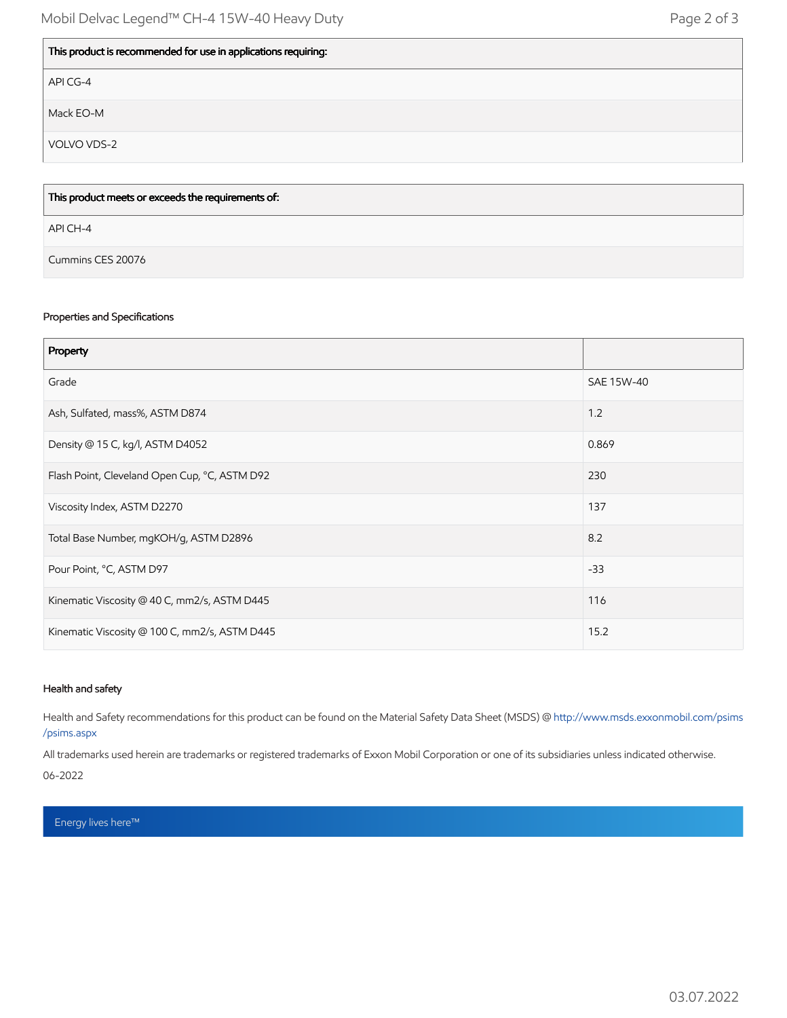| This product is recommended for use in applications requiring: |  |
|----------------------------------------------------------------|--|
| API CG-4                                                       |  |
| Mack EO-M                                                      |  |
| VOLVO VDS-2                                                    |  |
|                                                                |  |

| This product meets or exceeds the requirements of: |  |
|----------------------------------------------------|--|
| API CH-4                                           |  |
| Cummins CES 20076                                  |  |

#### Properties and Specifications

| Property                                      |            |
|-----------------------------------------------|------------|
| Grade                                         | SAE 15W-40 |
| Ash, Sulfated, mass%, ASTM D874               | 1.2        |
| Density @ 15 C, kg/l, ASTM D4052              | 0.869      |
| Flash Point, Cleveland Open Cup, °C, ASTM D92 | 230        |
| Viscosity Index, ASTM D2270                   | 137        |
| Total Base Number, mgKOH/g, ASTM D2896        | 8.2        |
| Pour Point, °C, ASTM D97                      | $-33$      |
| Kinematic Viscosity @ 40 C, mm2/s, ASTM D445  | 116        |
| Kinematic Viscosity @ 100 C, mm2/s, ASTM D445 | 15.2       |

#### Health and safety

Health and Safety recommendations for this product can be found on the Material Safety Data Sheet (MSDS) @ [http://www.msds.exxonmobil.com/psims](http://www.msds.exxonmobil.com/psims/psims.aspx) /psims.aspx

All trademarks used herein are trademarks or registered trademarks of Exxon Mobil Corporation or one of its subsidiaries unless indicated otherwise.

06-2022

Energy lives here™